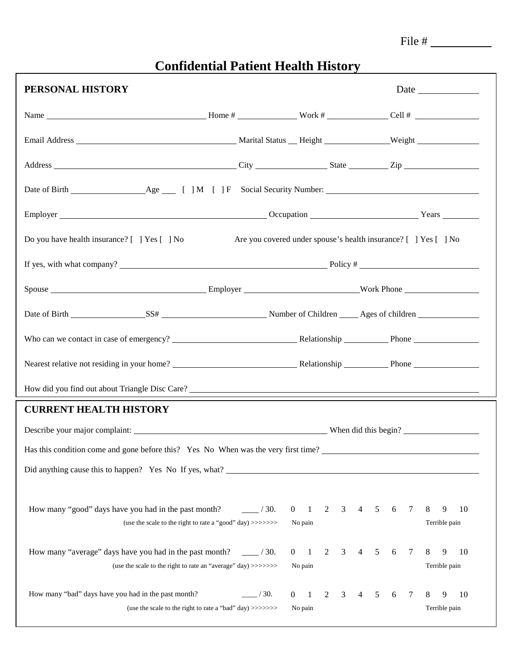| ٠ |  |
|---|--|
|   |  |

## **Confidential Patient Health History**

| PERSONAL HISTORY                                                                                                                                                                                |                  |                                     |        |   |   |   |   |   |                    | Date |  |
|-------------------------------------------------------------------------------------------------------------------------------------------------------------------------------------------------|------------------|-------------------------------------|--------|---|---|---|---|---|--------------------|------|--|
| Name $\frac{1}{\sqrt{1-\frac{1}{2}}\cos\theta}$ Home $\frac{1}{\sqrt{1-\frac{1}{2}}\cos\theta}$ Work $\frac{1}{\sqrt{1-\frac{1}{2}}\cos\theta}$ Cell $\frac{1}{\sqrt{1-\frac{1}{2}}\cos\theta}$ |                  |                                     |        |   |   |   |   |   |                    |      |  |
|                                                                                                                                                                                                 |                  |                                     |        |   |   |   |   |   |                    |      |  |
|                                                                                                                                                                                                 |                  |                                     |        |   |   |   |   |   |                    |      |  |
|                                                                                                                                                                                                 |                  |                                     |        |   |   |   |   |   |                    |      |  |
|                                                                                                                                                                                                 |                  |                                     |        |   |   |   |   |   |                    |      |  |
| Do you have health insurance? [ ] Yes [ ] No Are you covered under spouse's health insurance? [ ] Yes [ ] No                                                                                    |                  |                                     |        |   |   |   |   |   |                    |      |  |
| If yes, with what company? $\frac{1}{2}$ Policy # $\frac{1}{2}$ Policy # $\frac{1}{2}$                                                                                                          |                  |                                     |        |   |   |   |   |   |                    |      |  |
|                                                                                                                                                                                                 |                  |                                     |        |   |   |   |   |   |                    |      |  |
|                                                                                                                                                                                                 |                  |                                     |        |   |   |   |   |   |                    |      |  |
|                                                                                                                                                                                                 |                  |                                     |        |   |   |   |   |   |                    |      |  |
|                                                                                                                                                                                                 |                  |                                     |        |   |   |   |   |   |                    |      |  |
| How did you find out about Triangle Disc Care?                                                                                                                                                  |                  |                                     |        |   |   |   |   |   |                    |      |  |
| <b>CURRENT HEALTH HISTORY</b>                                                                                                                                                                   |                  |                                     |        |   |   |   |   |   |                    |      |  |
|                                                                                                                                                                                                 |                  |                                     |        |   |   |   |   |   |                    |      |  |
|                                                                                                                                                                                                 |                  |                                     |        |   |   |   |   |   |                    |      |  |
| Did anything cause this to happen? Yes No If yes, what?                                                                                                                                         |                  |                                     |        |   |   |   |   |   |                    |      |  |
|                                                                                                                                                                                                 |                  |                                     |        |   |   |   |   |   |                    |      |  |
| How many "good" days have you had in the past month?<br>(use the scale to the right to rate a "good" day) >>>>>>>>                                                                              | $\frac{1}{30}$ . | $\mathbf{1}$<br>$\Omega$<br>No pain | 2<br>3 | 4 | 5 | 6 | 7 | 8 | 9<br>Terrible pain | 10   |  |
| How many "average" days have you had in the past month?<br>(use the scale to the right to rate an "average" day) >>>>>>>>                                                                       | /30.             | $\theta$<br>-1<br>No pain           | 2<br>3 | 4 | 5 | 6 | 7 | 8 | 9<br>Terrible pain | 10   |  |
| How many "bad" days have you had in the past month?<br>(use the scale to the right to rate a "bad" day) >>>>>>>>                                                                                | /30.             | $\theta$<br>-1<br>No pain           | 2<br>3 | 4 | 5 | 6 | 7 | 8 | 9<br>Terrible pain | 10   |  |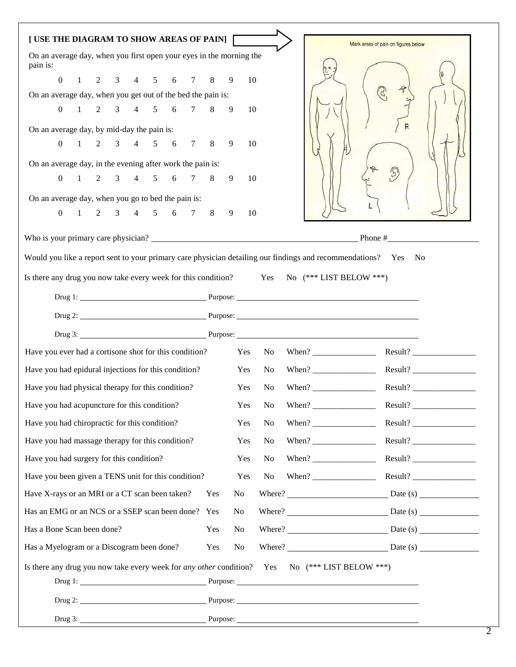| [USE THE DIAGRAM TO SHOW AREAS OF PAIN]                                                                                                                                                                                        |     |                |                | Mark areas of pain on figures below                         |
|--------------------------------------------------------------------------------------------------------------------------------------------------------------------------------------------------------------------------------|-----|----------------|----------------|-------------------------------------------------------------|
| On an average day, when you first open your eyes in the morning the<br>pain is:                                                                                                                                                |     |                |                |                                                             |
| $0 \t1 \t2 \t3 \t4 \t5 \t6 \t7 \t8 \t9$                                                                                                                                                                                        |     | 10             |                |                                                             |
| On an average day, when you get out of the bed the pain is:                                                                                                                                                                    |     |                |                |                                                             |
| $1 \t2 \t3 \t4 \t5 \t6 \t7 \t8 \t9$<br>$\Omega$                                                                                                                                                                                |     | 10             |                |                                                             |
| On an average day, by mid-day the pain is:                                                                                                                                                                                     |     |                |                |                                                             |
| $1 \t2 \t3 \t4 \t5 \t6 \t7 \t8$<br>$\overline{0}$                                                                                                                                                                              |     | 9<br>10        |                |                                                             |
| On an average day, in the evening after work the pain is:                                                                                                                                                                      |     |                |                |                                                             |
| 0 1 2 3 4 5 6 7 8 9                                                                                                                                                                                                            |     | 10             |                | $\mathcal{F}$                                               |
| On an average day, when you go to bed the pain is:                                                                                                                                                                             |     |                |                |                                                             |
| 1 2 3 4 5 6 7 8 9<br>$\overline{0}$                                                                                                                                                                                            |     | 10             |                |                                                             |
|                                                                                                                                                                                                                                |     |                |                | Who is your primary care physician? $\qquad \qquad$ Phone # |
| Would you like a report sent to your primary care physician detailing our findings and recommendations? Yes No                                                                                                                 |     |                |                |                                                             |
| Is there any drug you now take every week for this condition? Yes No (*** LIST BELOW ***)                                                                                                                                      |     |                |                |                                                             |
|                                                                                                                                                                                                                                |     |                |                |                                                             |
| Drug 1: Purpose: Purpose: 2008.                                                                                                                                                                                                |     |                |                |                                                             |
| Drug 2: Purpose: Purpose: 2. Purpose: 2. Purpose: 2. Purpose: 2. Purpose: 2. Purpose: 2. Purpose: 2. Purpose: 2. Purpose: 2. Purpose: 2. Purpose: 2. Purpose: 2. Purpose: 2. Purpose: 2. Purpose: 2. Purpose: 2. Purpose: 2. P |     |                |                |                                                             |
| Drug 3: Purpose: Purpose: 2008.                                                                                                                                                                                                |     |                |                |                                                             |
| Have you ever had a cortisone shot for this condition? Yes No When? _____________                                                                                                                                              |     |                |                |                                                             |
| Have you had epidural injections for this condition?                                                                                                                                                                           |     | Yes            | No             |                                                             |
| Have you had physical therapy for this condition?                                                                                                                                                                              |     | Yes            | No             |                                                             |
| Have you had acupuncture for this condition?                                                                                                                                                                                   |     | Yes            | No             | Result?                                                     |
| Have you had chiropractic for this condition?                                                                                                                                                                                  |     | Yes            | No             | Result?                                                     |
| Have you had massage therapy for this condition?                                                                                                                                                                               |     | Yes            | No             | Result?                                                     |
| Have you had surgery for this condition?                                                                                                                                                                                       |     | Yes            | No             | Result?                                                     |
| Have you been given a TENS unit for this condition?                                                                                                                                                                            |     | Yes            | N <sub>0</sub> |                                                             |
| Have X-rays or an MRI or a CT scan been taken?                                                                                                                                                                                 | Yes | N <sub>o</sub> |                | Where? $Date(s)$                                            |
| Has an EMG or an NCS or a SSEP scan been done? Yes                                                                                                                                                                             |     | N <sub>0</sub> |                | Where? $\qquad \qquad$ Date (s)                             |
| Has a Bone Scan been done?                                                                                                                                                                                                     | Yes | No             |                | Where? $Date(s)$                                            |
| Has a Myelogram or a Discogram been done?                                                                                                                                                                                      | Yes | No             |                | Where? $Date(s)$                                            |
| Is there any drug you now take every week for any other condition? Yes No (*** LIST BELOW ***)                                                                                                                                 |     |                |                |                                                             |
|                                                                                                                                                                                                                                |     |                |                |                                                             |
|                                                                                                                                                                                                                                |     |                |                |                                                             |
| Drug 3: Purpose: Purpose: 2008. Purpose: 2008. Purpose: 2008. Purpose: 2008. Purpose: 2008. Purpose: 2008. Purpose: 2008. Purpose: 2008. Purpose: 2008. Purpose: 2008. Purpose: 2008. Purpose: 2008. Purpose: 2008. Purpose: 2 |     |                |                |                                                             |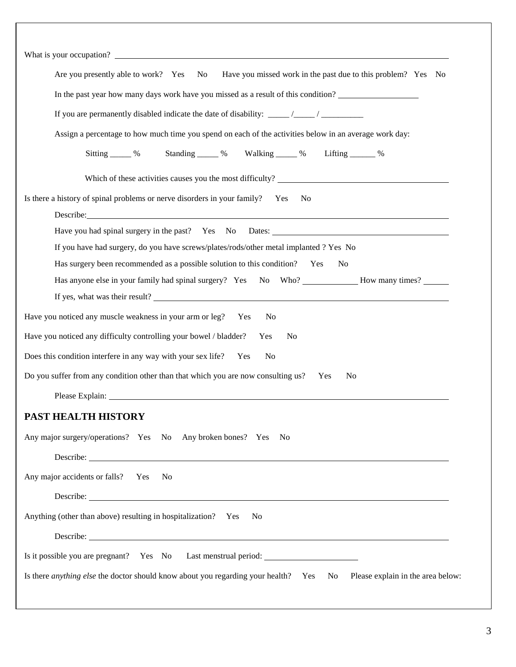| Have you missed work in the past due to this problem? Yes No<br>No<br>Are you presently able to work? Yes                                                                                                                     |  |  |  |  |  |  |  |  |  |  |
|-------------------------------------------------------------------------------------------------------------------------------------------------------------------------------------------------------------------------------|--|--|--|--|--|--|--|--|--|--|
| In the past year how many days work have you missed as a result of this condition?                                                                                                                                            |  |  |  |  |  |  |  |  |  |  |
|                                                                                                                                                                                                                               |  |  |  |  |  |  |  |  |  |  |
| Assign a percentage to how much time you spend on each of the activities below in an average work day:                                                                                                                        |  |  |  |  |  |  |  |  |  |  |
| Sitting 16 % Standing 16 % Walking 20 % Lifting 20 %                                                                                                                                                                          |  |  |  |  |  |  |  |  |  |  |
| Which of these activities causes you the most difficulty?                                                                                                                                                                     |  |  |  |  |  |  |  |  |  |  |
| Is there a history of spinal problems or nerve disorders in your family? Yes<br>N <sub>0</sub>                                                                                                                                |  |  |  |  |  |  |  |  |  |  |
| Describe: the contract of the contract of the contract of the contract of the contract of the contract of the contract of the contract of the contract of the contract of the contract of the contract of the contract of the |  |  |  |  |  |  |  |  |  |  |
|                                                                                                                                                                                                                               |  |  |  |  |  |  |  |  |  |  |
| If you have had surgery, do you have screws/plates/rods/other metal implanted ? Yes No                                                                                                                                        |  |  |  |  |  |  |  |  |  |  |
| Has surgery been recommended as a possible solution to this condition? Yes<br>N <sub>0</sub>                                                                                                                                  |  |  |  |  |  |  |  |  |  |  |
| Has anyone else in your family had spinal surgery? Yes No Who? How many times?                                                                                                                                                |  |  |  |  |  |  |  |  |  |  |
| If yes, what was their result?                                                                                                                                                                                                |  |  |  |  |  |  |  |  |  |  |
| Have you noticed any muscle weakness in your arm or leg?<br>Yes<br>N <sub>0</sub>                                                                                                                                             |  |  |  |  |  |  |  |  |  |  |
| Have you noticed any difficulty controlling your bowel / bladder?<br>Yes<br>N <sub>0</sub>                                                                                                                                    |  |  |  |  |  |  |  |  |  |  |
| Does this condition interfere in any way with your sex life?<br>Yes<br>N <sub>o</sub>                                                                                                                                         |  |  |  |  |  |  |  |  |  |  |
| Do you suffer from any condition other than that which you are now consulting us?<br>N <sub>0</sub><br>Yes                                                                                                                    |  |  |  |  |  |  |  |  |  |  |
| Please Explain: No. 1996. The Contract of the Contract of the Contract of the Contract of the Contract of the Contract of the Contract of the Contract of the Contract of the Contract of the Contract of the Contract of the |  |  |  |  |  |  |  |  |  |  |
| <b>PAST HEALTH HISTORY</b>                                                                                                                                                                                                    |  |  |  |  |  |  |  |  |  |  |
| Any major surgery/operations? Yes No Any broken bones? Yes No                                                                                                                                                                 |  |  |  |  |  |  |  |  |  |  |
|                                                                                                                                                                                                                               |  |  |  |  |  |  |  |  |  |  |
| Any major accidents or falls? Yes<br>N <sub>0</sub>                                                                                                                                                                           |  |  |  |  |  |  |  |  |  |  |
|                                                                                                                                                                                                                               |  |  |  |  |  |  |  |  |  |  |
| Anything (other than above) resulting in hospitalization? Yes<br>N <sub>0</sub>                                                                                                                                               |  |  |  |  |  |  |  |  |  |  |
|                                                                                                                                                                                                                               |  |  |  |  |  |  |  |  |  |  |
| Is it possible you are pregnant? Yes No Last menstrual period: _________________                                                                                                                                              |  |  |  |  |  |  |  |  |  |  |
| Is there <i>anything else</i> the doctor should know about you regarding your health? Yes No Please explain in the area below:                                                                                                |  |  |  |  |  |  |  |  |  |  |
|                                                                                                                                                                                                                               |  |  |  |  |  |  |  |  |  |  |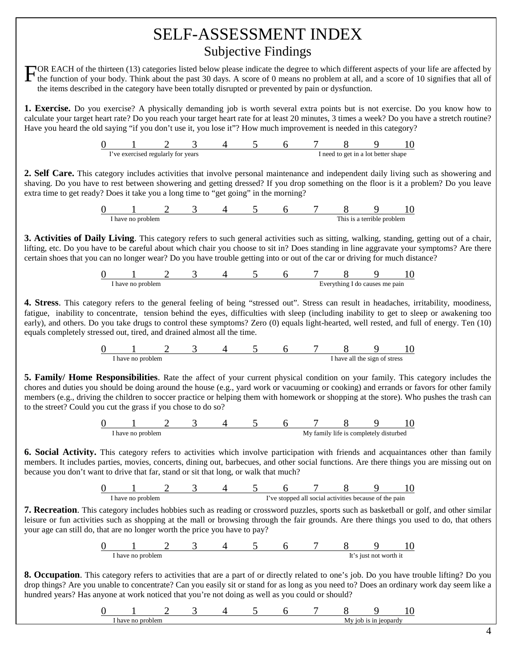## SELF-ASSESSMENT INDEX Subjective Findings

FOR EACH of the thirteen (13) categories listed below please indicate the degree to which different aspects of your life are affected by the function of your body. Think about the past 30 days. A score of 0 means no proble the function of your body. Think about the past 30 days. A score of 0 means no problem at all, and a score of 10 signifies that all of the items described in the category have been totally disrupted or prevented by pain or dysfunction.

**1. Exercise.** Do you exercise? A physically demanding job is worth several extra points but is not exercise. Do you know how to calculate your target heart rate? Do you reach your target heart rate for at least 20 minutes, 3 times a week? Do you have a stretch routine? Have you heard the old saying "if you don't use it, you lose it"? How much improvement is needed in this category?

| ve exercised regularly for years |  |  |  | I need to get in a lot better shape |  |
|----------------------------------|--|--|--|-------------------------------------|--|

**2. Self Care.** This category includes activities that involve personal maintenance and independent daily living such as showering and shaving. Do you have to rest between showering and getting dressed? If you drop something on the floor is it a problem? Do you leave extra time to get ready? Does it take you a long time to "get going" in the morning?



**3. Activities of Daily Living**. This category refers to such general activities such as sitting, walking, standing, getting out of a chair, lifting, etc. Do you have to be careful about which chair you choose to sit in? Does standing in line aggravate your symptoms? Are there certain shoes that you can no longer wear? Do you have trouble getting into or out of the car or driving for much distance?

| -problem<br>have<br>n |  |  | $H$ V $\Delta$ r | /thin σ | do causes me pain |  |
|-----------------------|--|--|------------------|---------|-------------------|--|

**4. Stress**. This category refers to the general feeling of being "stressed out". Stress can result in headaches, irritability, moodiness, fatigue, inability to concentrate, tension behind the eyes, difficulties with sleep (including inability to get to sleep or awakening too early), and others. Do you take drugs to control these symptoms? Zero (0) equals light-hearted, well rested, and full of energy. Ten (10) equals completely stressed out, tired, and drained almost all the time.



**5. Family/ Home Responsibilities**. Rate the affect of your current physical condition on your family. This category includes the chores and duties you should be doing around the house (e.g., yard work or vacuuming or cooking) and errands or favors for other family members (e.g., driving the children to soccer practice or helping them with homework or shopping at the store). Who pushes the trash can to the street? Could you cut the grass if you chose to do so?



**6. Social Activity.** This category refers to activities which involve participation with friends and acquaintances other than family members. It includes parties, movies, concerts, dining out, barbecues, and other social functions. Are there things you are missing out on because you don't want to drive that far, stand or sit that long, or walk that much?



**7. Recreation**. This category includes hobbies such as reading or crossword puzzles, sports such as basketball or golf, and other similar leisure or fun activities such as shopping at the mall or browsing through the fair grounds. Are there things you used to do, that others your age can still do, that are no longer worth the price you have to pay?



**8. Occupation**. This category refers to activities that are a part of or directly related to one's job. Do you have trouble lifting? Do you drop things? Are you unable to concentrate? Can you easily sit or stand for as long as you need to? Does an ordinary work day seem like a hundred years? Has anyone at work noticed that you're not doing as well as you could or should?

|  |  |  |  | <br> |  |
|--|--|--|--|------|--|